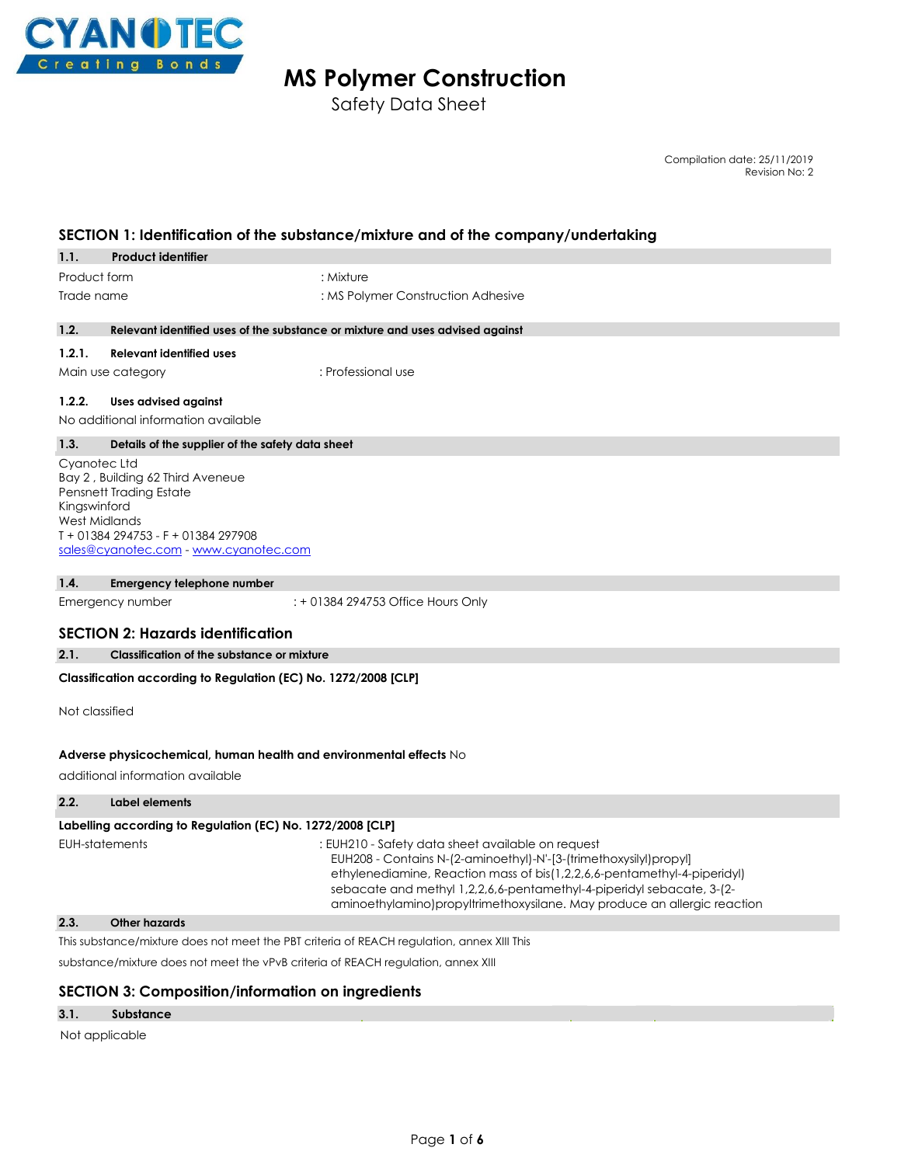

# **MS Polymer Construction**

Safety Data Sheet

Compilation date: 25/11/2019 Revision No: 2

# **SECTION 1: Identification of the substance/mixture and of the company/undertaking**

| 1.1.         | <b>Product identifier</b> |                                    |
|--------------|---------------------------|------------------------------------|
| Product form |                           | : Mixture                          |
| Trade name   |                           | : MS Polymer Construction Adhesive |

#### **1.2. Relevant identified uses of the substance or mixture and uses advised against**

#### **1.2.1. Relevant identified uses**

Main use category **in the set of the Second Austin** : Professional use

#### **1.2.2. Uses advised against**

No additional information available

#### **1.3. Details of the supplier of the safety data sheet**

Cyanotec Ltd Bay 2 , Building 62 Third Aveneue Pensnett Trading Estate Kingswinford West Midlands T + 01384 294753 - F + 01384 297908 sales@cyanotec.com - www.cyanotec.com

#### **1.4. Emergency telephone number**

Emergency number : + 01384 294753 Office Hours Only

### **SECTION 2: Hazards identification**

#### **2.1. Classification of the substance or mixture**

#### **Classification according to Regulation (EC) No. 1272/2008 [CLP]**

Not classified

#### **Adverse physicochemical, human health and environmental effects** No

additional information available

#### **2.2. Label elements**

#### Labelling according to Regulation (EC) No. 1272/2008 [CLP]

EUH-statements : EUH210 - Safety data sheet available on request EUH208 - Contains N-(2-aminoethyl)-N'-[3-(trimethoxysilyl)propyl] ethylenediamine, Reaction mass of bis(1,2,2,6,6-pentamethyl-4-piperidyl) sebacate and methyl 1,2,2,6,6-pentamethyl-4-piperidyl sebacate, 3-(2 aminoethylamino)propyltrimethoxysilane. May produce an allergic reaction

# **2.3. Other hazards**

This substance/mixture does not meet the PBT criteria of REACH regulation, annex XIII This

substance/mixture does not meet the vPvB criteria of REACH regulation, annex XIII

### **SECTION 3: Composition/information on ingredients**

#### **3.1. Substance**

Not applicable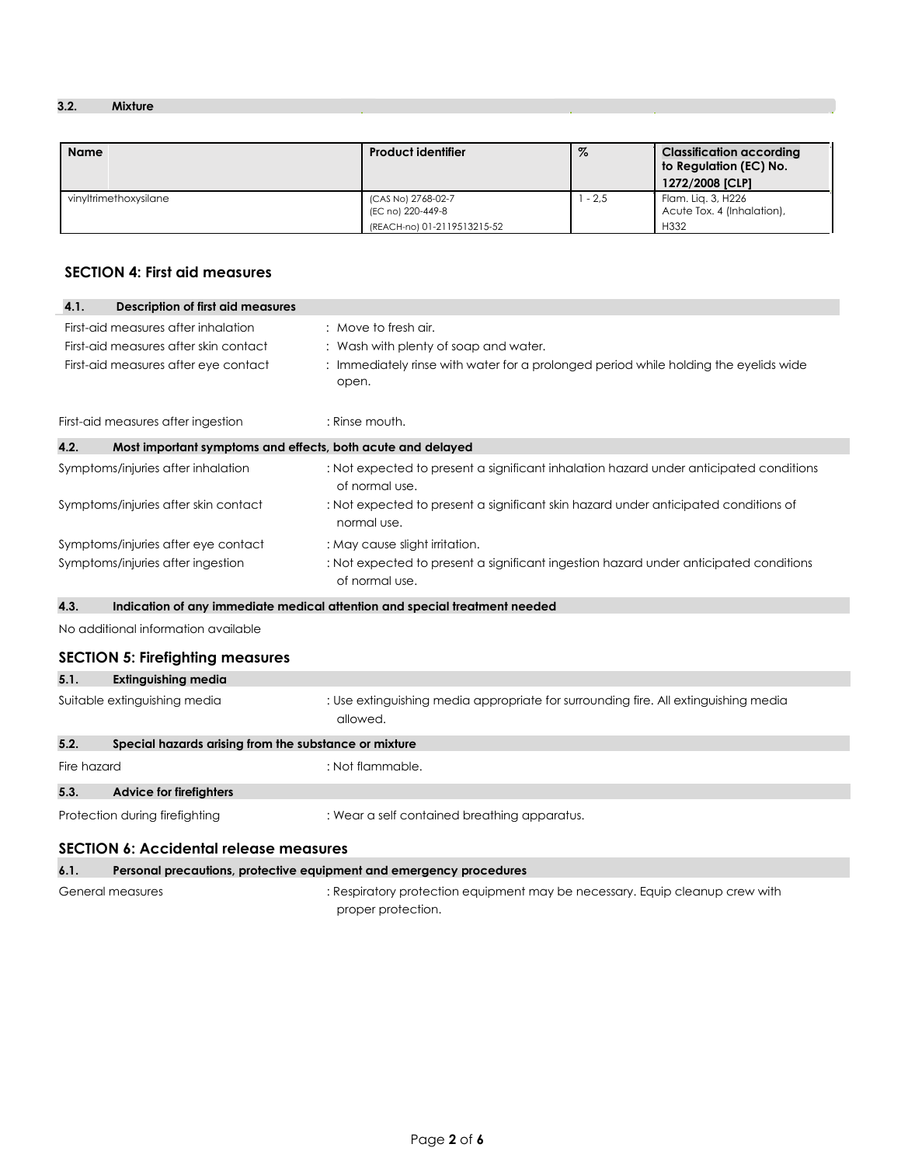# **3.2. Mixture**

| <b>Name</b>           | <b>Product identifier</b>                                              | $\%$   | <b>Classification according</b><br>to Regulation (EC) No.<br>1272/2008 [CLP] |
|-----------------------|------------------------------------------------------------------------|--------|------------------------------------------------------------------------------|
| vinvltrimethoxysilane | (CAS No) 2768-02-7<br>(EC no) 220-449-8<br>(REACH-no) 01-2119513215-52 | $-2.5$ | Flam, Lig. 3, H226<br>Acute Tox, 4 (Inhalation),<br>H332                     |

# **SECTION 4: First aid measures**

| 4.1.                                  | <b>Description of first aid measures</b>                    |                                                                                                          |
|---------------------------------------|-------------------------------------------------------------|----------------------------------------------------------------------------------------------------------|
|                                       | First-aid measures after inhalation                         | : Move to fresh air.                                                                                     |
| First-aid measures after skin contact |                                                             | : Wash with plenty of soap and water.                                                                    |
| First-aid measures after eye contact  |                                                             | : Immediately rinse with water for a prolonged period while holding the eyelids wide<br>open.            |
|                                       | First-aid measures after ingestion                          | : Rinse mouth.                                                                                           |
| 4.2.                                  | Most important symptoms and effects, both acute and delayed |                                                                                                          |
|                                       | Symptoms/injuries after inhalation                          | : Not expected to present a significant inhalation hazard under anticipated conditions<br>of normal use. |
|                                       | Symptoms/injuries after skin contact                        | : Not expected to present a significant skin hazard under anticipated conditions of<br>normal use.       |
|                                       | Symptoms/injuries after eye contact                         | : May cause slight irritation.                                                                           |
|                                       | Symptoms/injuries after ingestion                           | : Not expected to present a significant ingestion hazard under anticipated conditions<br>of normal use.  |
| 4.3.                                  |                                                             | Indication of any immediate medical attention and special treatment needed                               |
|                                       | No additional information available                         |                                                                                                          |
|                                       | <b>SECTION 5: Firefighting measures</b>                     |                                                                                                          |
| 5.1.                                  | <b>Extinguishing media</b>                                  |                                                                                                          |
|                                       | Suitable extinguishing media                                | : Use extinguishing media appropriate for surrounding fire. All extinguishing media<br>allowed.          |
| 5.2.                                  | Special hazards arising from the substance or mixture       |                                                                                                          |
| Fire hazard                           |                                                             | : Not flammable.                                                                                         |
| 5.3.                                  | <b>Advice for firefighters</b>                              |                                                                                                          |
|                                       | Protection during firefighting                              | : Wear a self contained breathing apparatus.                                                             |
|                                       | <b>SECTION 6: Accidental release measures</b>               |                                                                                                          |

# **6.1. Personal precautions, protective equipment and emergency procedures** General measures : Respiratory protection equipment may be necessary. Equip cleanup crew with

proper protection.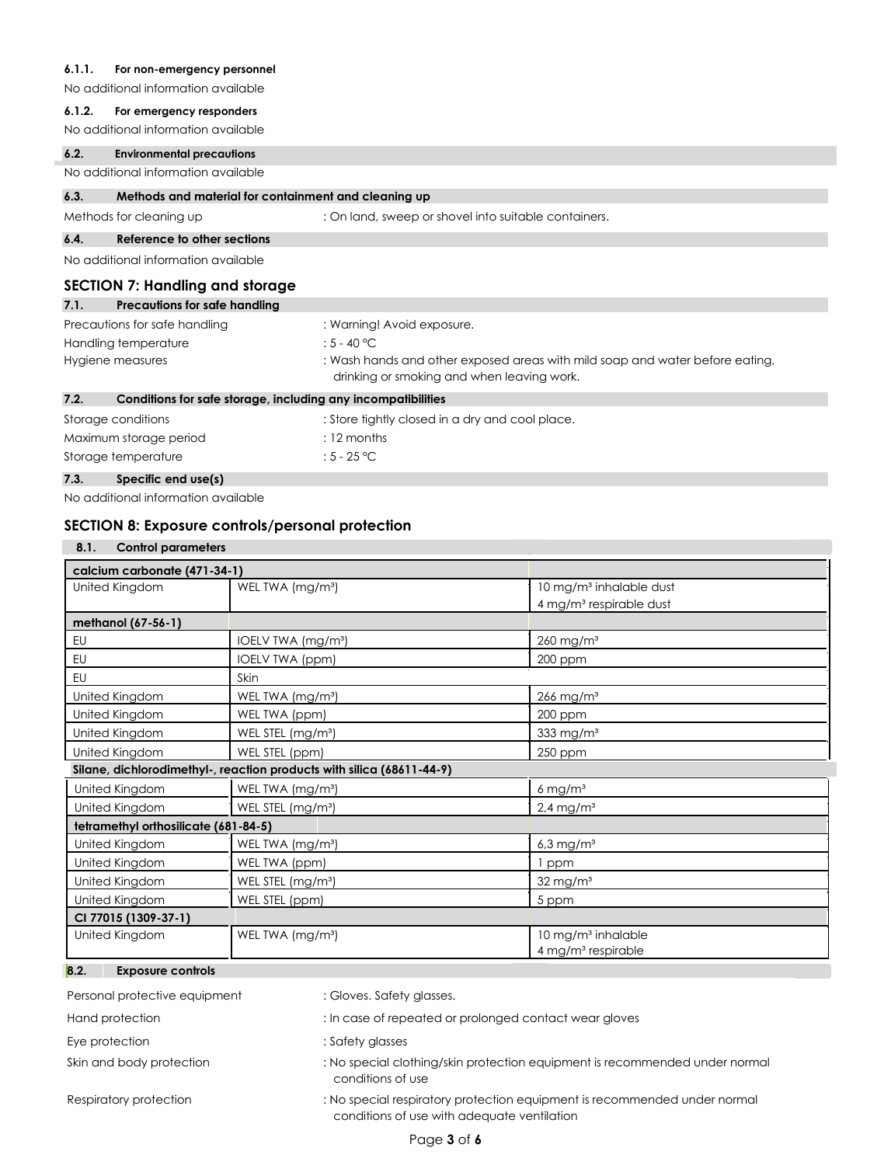### **6.1.1. For non-emergency personnel**

No additional information available

#### **6.1.2. For emergency responders**

No additional information available

### **6.2. Environmental precautions**

No additional information available

#### **6.3. Methods and material for containment and cleaning up**

Methods for cleaning up : On land, sweep or shovel into suitable containers.

#### **6.4. Reference to other sections**

No additional information available

# **SECTION 7: Handling and storage**

| 7.1.             | Precautions for safe handling                                |                                                                                                                            |
|------------------|--------------------------------------------------------------|----------------------------------------------------------------------------------------------------------------------------|
|                  | Precautions for safe handling                                | : Warning! Avoid exposure.                                                                                                 |
|                  | Handling temperature                                         | : 5 - 40 °C                                                                                                                |
| Hygiene measures |                                                              | : Wash hands and other exposed areas with mild soap and water before eating,<br>drinking or smoking and when leaving work. |
| 7.2.             | Conditions for safe storage, including any incompatibilities |                                                                                                                            |
|                  | Storage conditions                                           | : Store tightly closed in a dry and cool place.                                                                            |

# Storage temperature : 5 - 25 °C **7.3. Specific end use(s)**

No additional information available

### **SECTION 8: Exposure controls/personal protection**

Maximum storage period : 12 months

| <b>Control parameters</b><br>8.1.    |                                                                       |                                     |  |  |  |
|--------------------------------------|-----------------------------------------------------------------------|-------------------------------------|--|--|--|
|                                      | calcium carbonate (471-34-1)                                          |                                     |  |  |  |
| United Kingdom                       | WEL TWA (mg/m <sup>3</sup> )                                          | 10 mg/m <sup>3</sup> inhalable dust |  |  |  |
|                                      |                                                                       | 4 mg/m <sup>3</sup> respirable dust |  |  |  |
| methanol (67-56-1)                   |                                                                       |                                     |  |  |  |
| <b>EU</b>                            | IOELV TWA (mg/m <sup>3</sup> )                                        | $260$ mg/m <sup>3</sup>             |  |  |  |
| <b>EU</b>                            | <b>IOELV TWA (ppm)</b>                                                | 200 ppm                             |  |  |  |
| <b>EU</b>                            | Skin                                                                  |                                     |  |  |  |
| United Kingdom                       | WEL TWA (mg/m <sup>3</sup> )                                          | $266$ mg/m <sup>3</sup>             |  |  |  |
| United Kingdom                       | WEL TWA (ppm)                                                         | 200 ppm                             |  |  |  |
| United Kingdom                       | WEL STEL (mg/m <sup>3</sup> )                                         | 333 mg/m <sup>3</sup>               |  |  |  |
| United Kingdom                       | WEL STEL (ppm)                                                        | 250 ppm                             |  |  |  |
|                                      | Silane, dichlorodimethyl-, reaction products with silica (68611-44-9) |                                     |  |  |  |
| United Kingdom                       | WEL TWA (mg/m <sup>3</sup> )                                          | $6 \text{ mg/m}^3$                  |  |  |  |
| United Kingdom                       | WEL STEL (mg/m <sup>3</sup> )                                         | $2.4$ mg/m <sup>3</sup>             |  |  |  |
| tetramethyl orthosilicate (681-84-5) |                                                                       |                                     |  |  |  |
| United Kingdom                       | WEL TWA (mg/m <sup>3</sup> )                                          | $6.3$ mg/m <sup>3</sup>             |  |  |  |
| United Kingdom                       | WEL TWA (ppm)                                                         | ppm                                 |  |  |  |
| United Kingdom                       | WEL STEL (mg/m <sup>3</sup> )                                         | $32$ mg/m <sup>3</sup>              |  |  |  |
| United Kingdom                       | WEL STEL (ppm)                                                        | 5 ppm                               |  |  |  |
| CI 77015 (1309-37-1)                 |                                                                       |                                     |  |  |  |
| United Kingdom                       | WEL TWA (mg/m <sup>3</sup> )                                          | 10 mg/m <sup>3</sup> inhalable      |  |  |  |
|                                      |                                                                       | 4 mg/m <sup>3</sup> respirable      |  |  |  |
| 8.2.<br><b>Exposure controls</b>     |                                                                       |                                     |  |  |  |

Personal protective equipment : Gloves. Safety glasses.

Hand protection  $\qquad \qquad \qquad$  : In case of repeated or prolonged contact wear gloves

- Eye protection  $\qquad \qquad :$  Safety glasses
- Skin and body protection : No special clothing/skin protection equipment is recommended under normal conditions of use

### Respiratory protection : No special respiratory protection equipment is recommended under normal conditions of use with adequate ventilation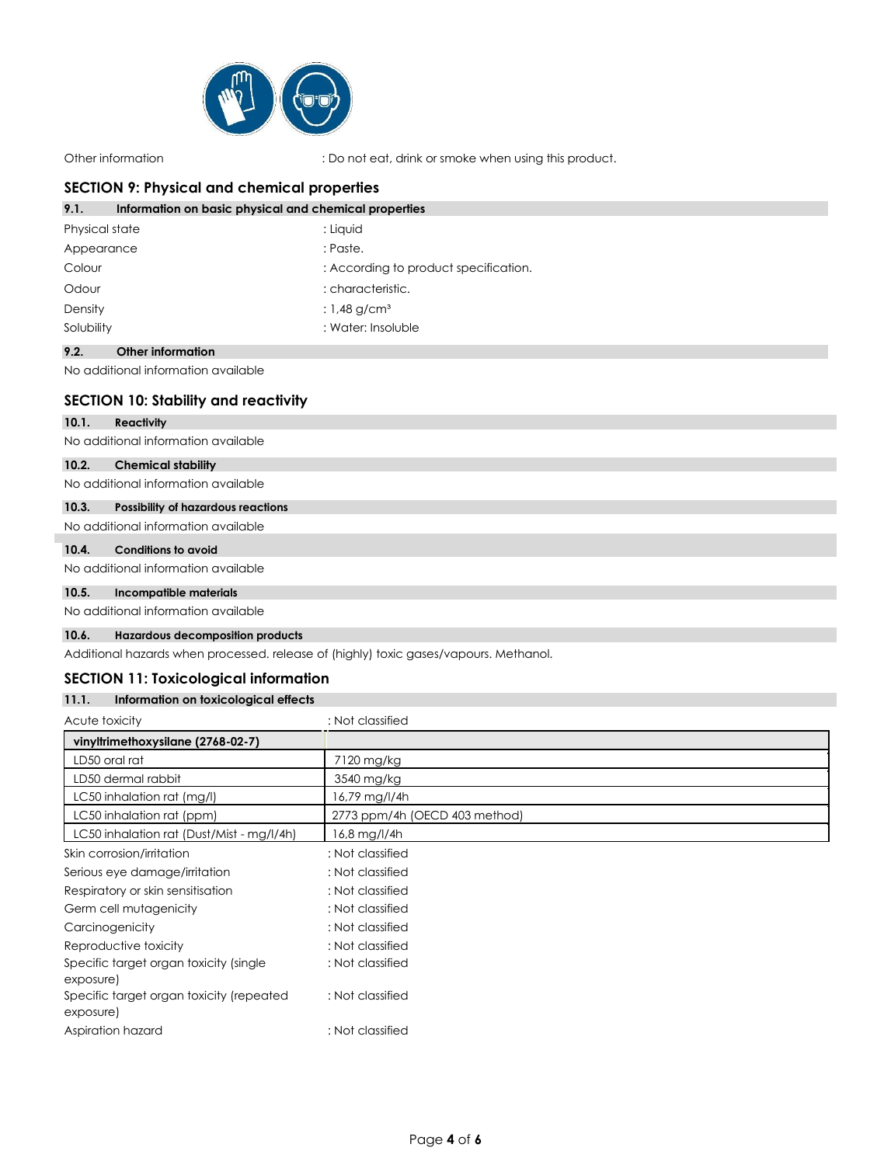

Other information : Do not eat, drink or smoke when using this product.

# **SECTION 9: Physical and chemical properties**

| Information on basic physical and chemical properties<br>9.1. |                                       |
|---------------------------------------------------------------|---------------------------------------|
| Physical state                                                | : Liquid                              |
| Appearance                                                    | : Paste.                              |
| Colour                                                        | : According to product specification. |
| Odour                                                         | : characteristic.                     |
| Density                                                       | : $1,48$ g/cm <sup>3</sup>            |
| Solubility                                                    | : Water: Insoluble                    |

### **9.2. Other information**

No additional information available

# **SECTION 10: Stability and reactivity**

#### **10.1. Reactivity**

No additional information available

#### **10.2. Chemical stability**

No additional information available

### **10.3. Possibility of hazardous reactions**

# No additional information available

# **10.4. Conditions to avoid**

No additional information available

### **10.5. Incompatible materials**

No additional information available

## **10.6. Hazardous decomposition products**

Additional hazards when processed. release of (highly) toxic gases/vapours. Methanol.

#### **SECTION 11: Toxicological information 11.1. Information on toxicological effects**

| 11.I.<br>Information on foxicological effects         |                               |
|-------------------------------------------------------|-------------------------------|
| Acute toxicity                                        | : Not classified              |
| vinyltrimethoxysilane (2768-02-7)                     |                               |
| LD50 oral rat                                         | 7120 mg/kg                    |
| LD50 dermal rabbit                                    | 3540 mg/kg                    |
| LC50 inhalation rat (mg/l)                            | $16,79$ mg/l/4h               |
| LC50 inhalation rat (ppm)                             | 2773 ppm/4h (OECD 403 method) |
| LC50 inhalation rat (Dust/Mist - mg/l/4h)             | 16,8 mg/l/4h                  |
| Skin corrosion/irritation                             | : Not classified              |
| Serious eye damage/irritation                         | : Not classified              |
| Respiratory or skin sensitisation                     | : Not classified              |
| Germ cell mutagenicity                                | : Not classified              |
| Carcinogenicity                                       | : Not classified              |
| Reproductive toxicity                                 | : Not classified              |
| Specific target organ toxicity (single<br>exposure)   | : Not classified              |
| Specific target organ toxicity (repeated<br>exposure) | : Not classified              |
| Aspiration hazard                                     | : Not classified              |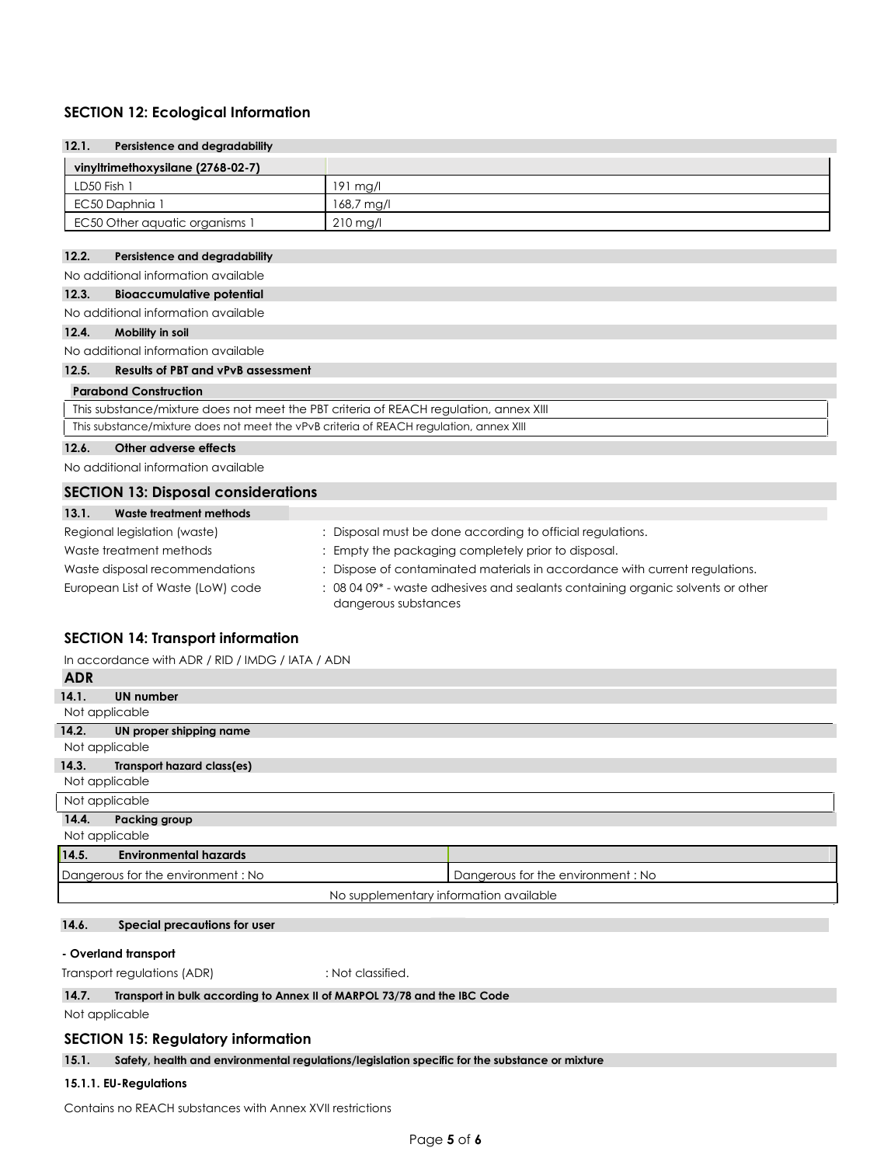# **SECTION 12: Ecological Information**

| 12.1.<br>Persistence and degradability                                                                                                       |                                                                             |  |
|----------------------------------------------------------------------------------------------------------------------------------------------|-----------------------------------------------------------------------------|--|
| vinyltrimethoxysilane (2768-02-7)                                                                                                            |                                                                             |  |
| LD50 Fish 1                                                                                                                                  | 191 mg/l                                                                    |  |
| EC50 Daphnia 1                                                                                                                               | $168,7$ mg/l                                                                |  |
| EC50 Other aquatic organisms 1                                                                                                               | $210$ mg/l                                                                  |  |
|                                                                                                                                              |                                                                             |  |
| 12.2.<br>Persistence and degradability                                                                                                       |                                                                             |  |
| No additional information available                                                                                                          |                                                                             |  |
| 12.3.<br><b>Bioaccumulative potential</b>                                                                                                    |                                                                             |  |
| No additional information available                                                                                                          |                                                                             |  |
| 12.4.<br>Mobility in soil                                                                                                                    |                                                                             |  |
| No additional information available                                                                                                          |                                                                             |  |
| <b>Results of PBT and vPvB assessment</b><br>12.5.                                                                                           |                                                                             |  |
| <b>Parabond Construction</b>                                                                                                                 |                                                                             |  |
| This substance/mixture does not meet the PBT criteria of REACH regulation, annex XIII                                                        |                                                                             |  |
| This substance/mixture does not meet the vPvB criteria of REACH regulation, annex XIII                                                       |                                                                             |  |
| Other adverse effects<br>12.6.                                                                                                               |                                                                             |  |
| No additional information available                                                                                                          |                                                                             |  |
| <b>SECTION 13: Disposal considerations</b>                                                                                                   |                                                                             |  |
| 13.1.<br>Waste treatment methods                                                                                                             |                                                                             |  |
| Regional legislation (waste)                                                                                                                 | : Disposal must be done according to official regulations.                  |  |
| Waste treatment methods                                                                                                                      | : Empty the packaging completely prior to disposal.                         |  |
| Waste disposal recommendations                                                                                                               | : Dispose of contaminated materials in accordance with current regulations. |  |
| : 08 04 09* - waste adhesives and sealants containing organic solvents or other<br>European List of Waste (LoW) code<br>dangerous substances |                                                                             |  |

# **SECTION 14: Transport information**

| In accordance with ADR / RID / IMDG / IATA / ADN |  |  |  |
|--------------------------------------------------|--|--|--|
|                                                  |  |  |  |

| <b>ADR</b>     |                                        |                                   |
|----------------|----------------------------------------|-----------------------------------|
| 14.1.          | UN number                              |                                   |
| Not applicable |                                        |                                   |
| 14.2.          | UN proper shipping name                |                                   |
| Not applicable |                                        |                                   |
| 14.3.          | <b>Transport hazard class(es)</b>      |                                   |
| Not applicable |                                        |                                   |
|                | Not applicable                         |                                   |
| 14.4.          | Packing group                          |                                   |
| Not applicable |                                        |                                   |
| 14.5.          | <b>Environmental hazards</b>           |                                   |
|                | Dangerous for the environment: No      | Dangerous for the environment: No |
|                | No supplementary information available |                                   |

## **14.6. Special precautions for user**

## **- Overland transport**

Transport regulations (ADR) : Not classified.

## **14.7. Transport in bulk according to Annex II of MARPOL 73/78 and the IBC Code**

Not applicable

### **SECTION 15: Regulatory information**

# **15.1. Safety, health and environmental regulations/legislation specific for the substance or mixture**

# **15.1.1. EU-Regulations**